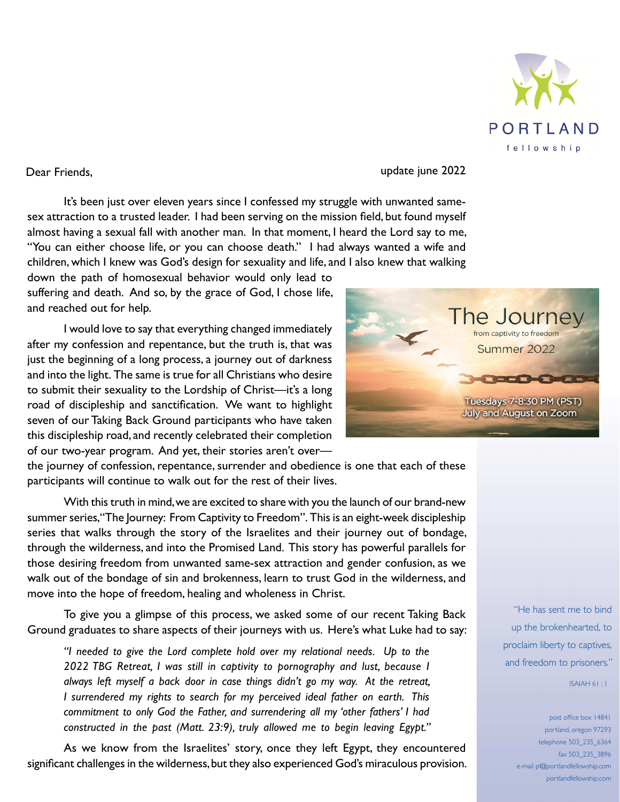

Dear Friends,update june 2022

It's been just over eleven years since I confessed my struggle with unwanted samesex attraction to a trusted leader. I had been serving on the mission field, but found myself almost having a sexual fall with another man. In that moment, I heard the Lord say to me, "You can either choose life, or you can choose death." I had always wanted a wife and children, which I knew was God's design for sexuality and life, and I also knew that walking

down the path of homosexual behavior would only lead to suffering and death. And so, by the grace of God, I chose life, and reached out for help.

I would love to say that everything changed immediately after my confession and repentance, but the truth is, that was just the beginning of a long process, a journey out of darkness and into the light. The same is true for all Christians who desire to submit their sexuality to the Lordship of Christ—it's a long road of discipleship and sanctification. We want to highlight seven of our Taking Back Ground participants who have taken this discipleship road, and recently celebrated their completion of our two-year program. And yet, their stories aren't over—

the journey of confession, repentance, surrender and obedience is one that each of these participants will continue to walk out for the rest of their lives.

With this truth in mind, we are excited to share with you the launch of our brand-new summer series, "The Journey: From Captivity to Freedom". This is an eight-week discipleship series that walks through the story of the Israelites and their journey out of bondage, through the wilderness, and into the Promised Land. This story has powerful parallels for those desiring freedom from unwanted same-sex attraction and gender confusion, as we walk out of the bondage of sin and brokenness, learn to trust God in the wilderness, and move into the hope of freedom, healing and wholeness in Christ.

To give you a glimpse of this process, we asked some of our recent Taking Back Ground graduates to share aspects of their journeys with us. Here's what Luke had to say:

*"I needed to give the Lord complete hold over my relational needs. Up to the 2022 TBG Retreat, I was still in captivity to pornography and lust, because I always left myself a back door in case things didn't go my way. At the retreat, I surrendered my rights to search for my perceived ideal father on earth. This commitment to only God the Father, and surrendering all my 'other fathers' I had constructed in the past (Matt. 23:9), truly allowed me to begin leaving Egypt."* 

As we know from the Israelites' story, once they left Egypt, they encountered significant challenges in the wilderness, but they also experienced God's miraculous provision.



"He has sent me to bind up the brokenhearted, to proclaim liberty to captives, and freedom to prisoners."

ISAIAH 61 : 1

post office box 14841 portland, oregon 97293 telephone 503\_235\_6364 fax 503\_235\_3896 e-mail pf@portlandfellowship.com portlandfellowship.com